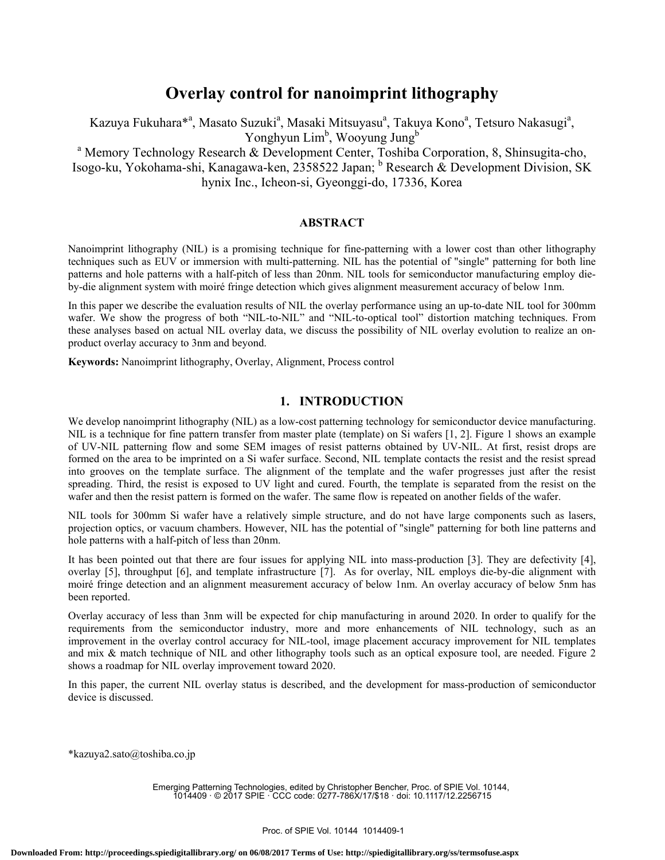# **Overlay control for nanoimprint lithography**

Kazuya Fukuhara $^{*a}$ , Masato Suzuki<sup>a</sup>, Masaki Mitsuyasu<sup>a</sup>, Takuya Kono<sup>a</sup>, Tetsuro Nakasugi<sup>a</sup>, Yonghyun Lim<sup>b</sup>, Wooyung Jung<sup>b</sup>

<sup>a</sup> Memory Technology Research & Development Center, Toshiba Corporation, 8, Shinsugita-cho, Isogo-ku, Yokohama-shi, Kanagawa-ken, 2358522 Japan; <sup>b</sup> Research & Development Division, SK hynix Inc., Icheon-si, Gyeonggi-do, 17336, Korea

### **ABSTRACT**

Nanoimprint lithography (NIL) is a promising technique for fine-patterning with a lower cost than other lithography techniques such as EUV or immersion with multi-patterning. NIL has the potential of "single" patterning for both line patterns and hole patterns with a half-pitch of less than 20nm. NIL tools for semiconductor manufacturing employ dieby-die alignment system with moiré fringe detection which gives alignment measurement accuracy of below 1nm.

In this paper we describe the evaluation results of NIL the overlay performance using an up-to-date NIL tool for 300mm wafer. We show the progress of both "NIL-to-NIL" and "NIL-to-optical tool" distortion matching techniques. From these analyses based on actual NIL overlay data, we discuss the possibility of NIL overlay evolution to realize an onproduct overlay accuracy to 3nm and beyond.

**Keywords:** Nanoimprint lithography, Overlay, Alignment, Process control

# **1. INTRODUCTION**

We develop nanoimprint lithography (NIL) as a low-cost patterning technology for semiconductor device manufacturing. NIL is a technique for fine pattern transfer from master plate (template) on Si wafers [1, 2]. Figure 1 shows an example of UV-NIL patterning flow and some SEM images of resist patterns obtained by UV-NIL. At first, resist drops are formed on the area to be imprinted on a Si wafer surface. Second, NIL template contacts the resist and the resist spread into grooves on the template surface. The alignment of the template and the wafer progresses just after the resist spreading. Third, the resist is exposed to UV light and cured. Fourth, the template is separated from the resist on the wafer and then the resist pattern is formed on the wafer. The same flow is repeated on another fields of the wafer.

NIL tools for 300mm Si wafer have a relatively simple structure, and do not have large components such as lasers, projection optics, or vacuum chambers. However, NIL has the potential of "single" patterning for both line patterns and hole patterns with a half-pitch of less than 20nm.

It has been pointed out that there are four issues for applying NIL into mass-production [3]. They are defectivity [4], overlay [5], throughput [6], and template infrastructure [7]. As for overlay, NIL employs die-by-die alignment with moiré fringe detection and an alignment measurement accuracy of below 1nm. An overlay accuracy of below 5nm has been reported.

Overlay accuracy of less than 3nm will be expected for chip manufacturing in around 2020. In order to qualify for the requirements from the semiconductor industry, more and more enhancements of NIL technology, such as an improvement in the overlay control accuracy for NIL-tool, image placement accuracy improvement for NIL templates and mix & match technique of NIL and other lithography tools such as an optical exposure tool, are needed. Figure 2 shows a roadmap for NIL overlay improvement toward 2020.

In this paper, the current NIL overlay status is described, and the development for mass-production of semiconductor device is discussed.

\*kazuya2.sato@toshiba.co.jp

Emerging Patterning Technologies, edited by Christopher Bencher, Proc. of SPIE Vol. 10144, 1014409 · © 2017 SPIE · CCC code: 0277-786X/17/\$18 · doi: 10.1117/12.2256715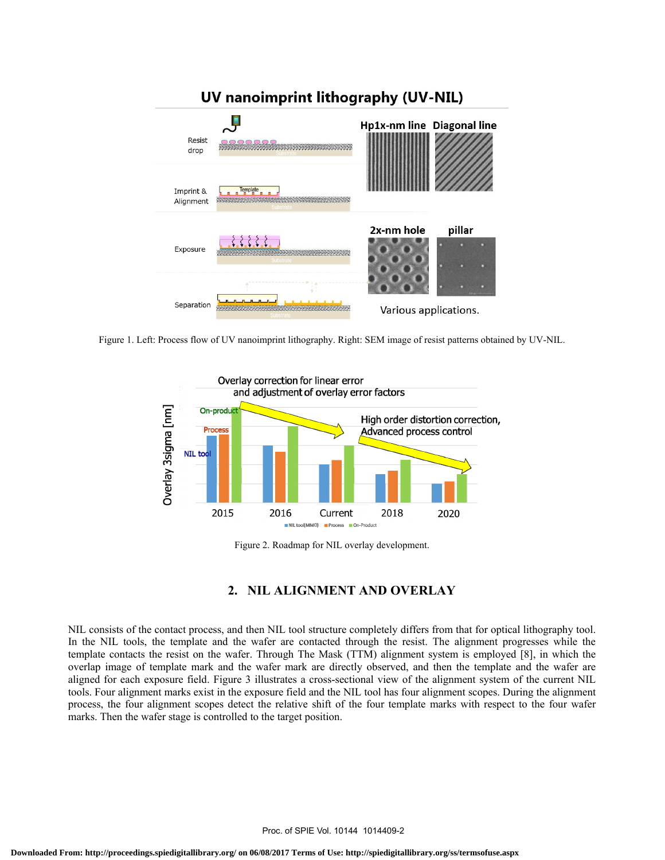

Figure 1. Left: Process flow of UV nanoimprint lithography. Right: SEM image of resist patterns obtained by UV-NIL.



Figure 2. Roadmap for NIL overlay development.

# **2. NIL ALIGNMENT AND OVERLAY**

NIL consists of the contact process, and then NIL tool structure completely differs from that for optical lithography tool. In the NIL tools, the template and the wafer are contacted through the resist. The alignment progresses while the template contacts the resist on the wafer. Through The Mask (TTM) alignment system is employed [8], in which the overlap image of template mark and the wafer mark are directly observed, and then the template and the wafer are aligned for each exposure field. Figure 3 illustrates a cross-sectional view of the alignment system of the current NIL tools. Four alignment marks exist in the exposure field and the NIL tool has four alignment scopes. During the alignment process, the four alignment scopes detect the relative shift of the four template marks with respect to the four wafer marks. Then the wafer stage is controlled to the target position.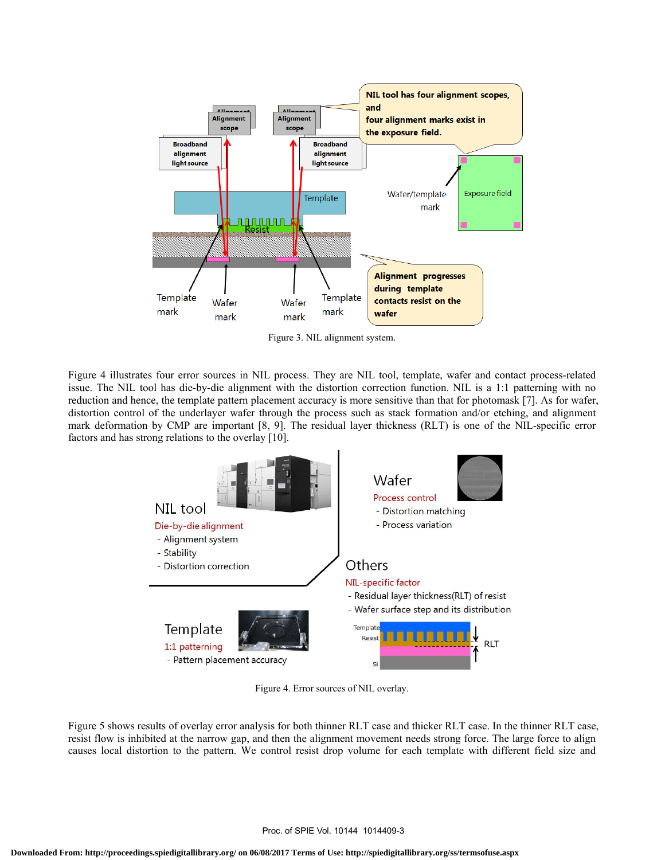

Figure 3. NIL alignment system.

Figure 4 illustrates four error sources in NIL process. They are NIL tool, template, wafer and contact process-related issue. The NIL tool has die-by-die alignment with the distortion correction function. NIL is a 1:1 patterning with no reduction and hence, the template pattern placement accuracy is more sensitive than that for photomask [7]. As for wafer, distortion control of the underlayer wafer through the process such as stack formation and/or etching, and alignment mark deformation by CMP are important [8, 9]. The residual layer thickness (RLT) is one of the NIL-specific error factors and has strong relations to the overlay [10].



Figure 4. Error sources of NIL overlay.

Figure 5 shows results of overlay error analysis for both thinner RLT case and thicker RLT case. In the thinner RLT case, resist flow is inhibited at the narrow gap, and then the alignment movement needs strong force. The large force to align causes local distortion to the pattern. We control resist drop volume for each template with different field size and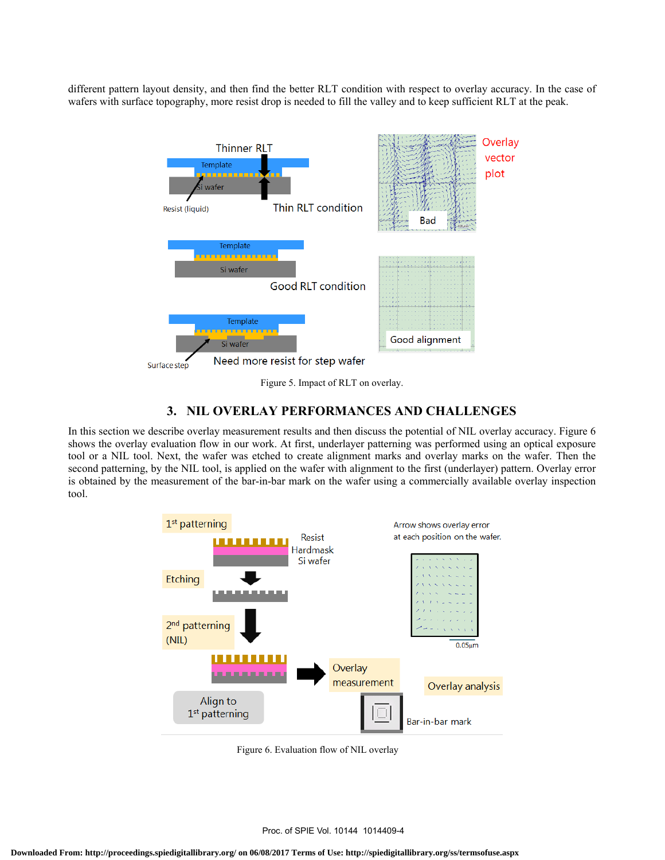different pattern layout density, and then find the better RLT condition with respect to overlay accuracy. In the case of wafers with surface topography, more resist drop is needed to fill the valley and to keep sufficient RLT at the peak.



# **3. NIL OVERLAY PERFORMANCES AND CHALLENGES**

In this section we describe overlay measurement results and then discuss the potential of NIL overlay accuracy. Figure 6 shows the overlay evaluation flow in our work. At first, underlayer patterning was performed using an optical exposure tool or a NIL tool. Next, the wafer was etched to create alignment marks and overlay marks on the wafer. Then the second patterning, by the NIL tool, is applied on the wafer with alignment to the first (underlayer) pattern. Overlay error is obtained by the measurement of the bar-in-bar mark on the wafer using a commercially available overlay inspection tool.



Figure 6. Evaluation flow of NIL overlay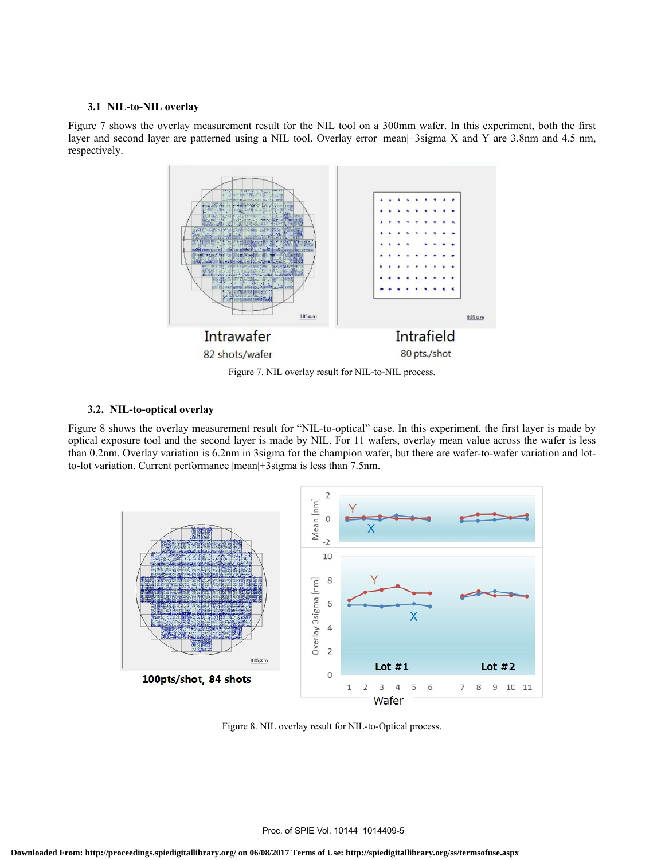#### **3.1 NIL-to-NIL overlay**

Figure 7 shows the overlay measurement result for the NIL tool on a 300mm wafer. In this experiment, both the first layer and second layer are patterned using a NIL tool. Overlay error |mean|+3sigma X and Y are 3.8nm and 4.5 nm, respectively.



Figure 7. NIL overlay result for NIL-to-NIL process.

#### **3.2. NIL-to-optical overlay**

Figure 8 shows the overlay measurement result for "NIL-to-optical" case. In this experiment, the first layer is made by optical exposure tool and the second layer is made by NIL. For 11 wafers, overlay mean value across the wafer is less than 0.2nm. Overlay variation is 6.2nm in 3sigma for the champion wafer, but there are wafer-to-wafer variation and lotto-lot variation. Current performance |mean|+3sigma is less than 7.5nm.



Figure 8. NIL overlay result for NIL-to-Optical process.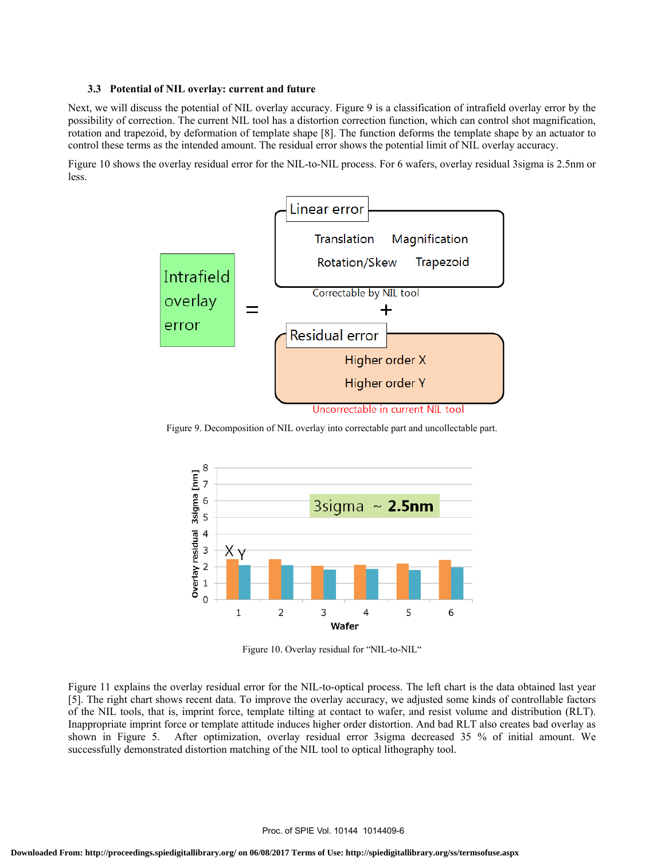#### **3.3 Potential of NIL overlay: current and future**

Next, we will discuss the potential of NIL overlay accuracy. Figure 9 is a classification of intrafield overlay error by the possibility of correction. The current NIL tool has a distortion correction function, which can control shot magnification, rotation and trapezoid, by deformation of template shape [8]. The function deforms the template shape by an actuator to control these terms as the intended amount. The residual error shows the potential limit of NIL overlay accuracy.

Figure 10 shows the overlay residual error for the NIL-to-NIL process. For 6 wafers, overlay residual 3sigma is 2.5nm or less.



Figure 9. Decomposition of NIL overlay into correctable part and uncollectable part.



Figure 10. Overlay residual for "NIL-to-NIL"

Figure 11 explains the overlay residual error for the NIL-to-optical process. The left chart is the data obtained last year [5]. The right chart shows recent data. To improve the overlay accuracy, we adjusted some kinds of controllable factors of the NIL tools, that is, imprint force, template tilting at contact to wafer, and resist volume and distribution (RLT). Inappropriate imprint force or template attitude induces higher order distortion. And bad RLT also creates bad overlay as shown in Figure 5. After optimization, overlay residual error 3sigma decreased 35 % of initial amount. We successfully demonstrated distortion matching of the NIL tool to optical lithography tool.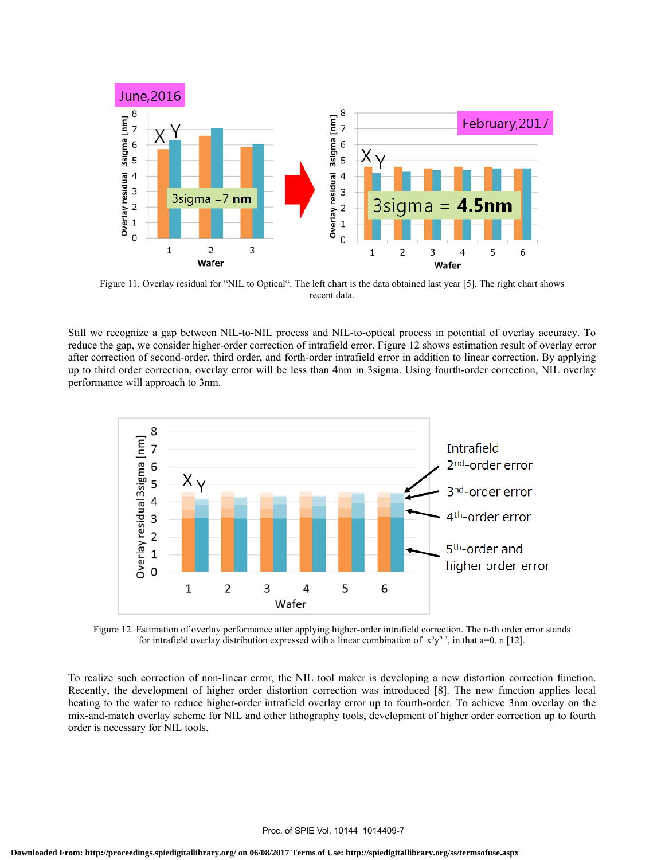

Figure 11. Overlay residual for "NIL to Optical". The left chart is the data obtained last year [5]. The right chart shows recent data.

Still we recognize a gap between NIL-to-NIL process and NIL-to-optical process in potential of overlay accuracy. To reduce the gap, we consider higher-order correction of intrafield error. Figure 12 shows estimation result of overlay error after correction of second-order, third order, and forth-order intrafield error in addition to linear correction. By applying up to third order correction, overlay error will be less than 4nm in 3sigma. Using fourth-order correction, NIL overlay performance will approach to 3nm.



Figure 12. Estimation of overlay performance after applying higher-order intrafield correction. The n-th order error stands for intrafield overlay distribution expressed with a linear combination of  $x^3y^{n-a}$ , in that a=0..n [12].

To realize such correction of non-linear error, the NIL tool maker is developing a new distortion correction function. Recently, the development of higher order distortion correction was introduced [8]. The new function applies local heating to the wafer to reduce higher-order intrafield overlay error up to fourth-order. To achieve 3nm overlay on the mix-and-match overlay scheme for NIL and other lithography tools, development of higher order correction up to fourth order is necessary for NIL tools.